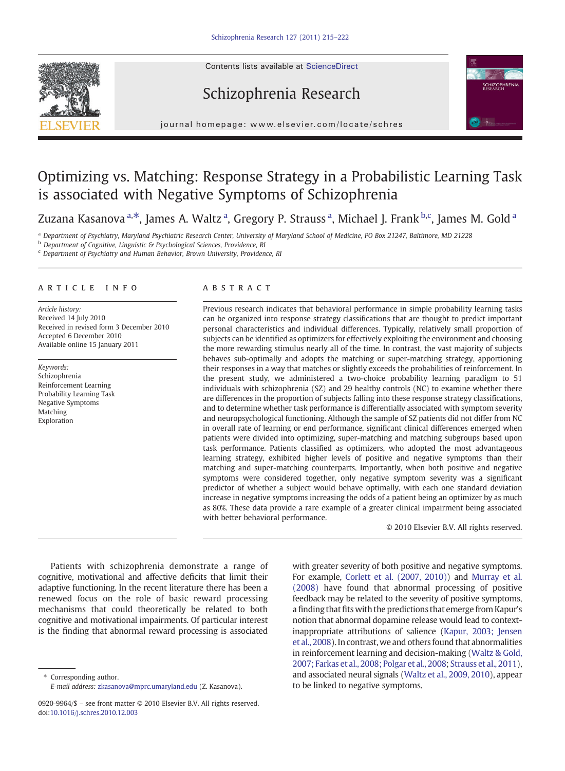Contents lists available at ScienceDirect



# Schizophrenia Research



j o u r n a g e  $\mathbf{r}$  . We are evident to the following the set of  $\mathbf{r}$ 

# Optimizing vs. Matching: Response Strategy in a Probabilistic Learning Task is associated with Negative Symptoms of Schizophrenia

Zuzana Kasanova <sup>a,\*</sup>, James A. Waltz <sup>a</sup>, Gregory P. Strauss <sup>a</sup>, Michael J. Frank <sup>b,c</sup>, James M. Gold <sup>a</sup>

<sup>a</sup> Department of Psychiatry, Maryland Psychiatric Research Center, University of Maryland School of Medicine, PO Box 21247, Baltimore, MD 21228

**b** Department of Cognitive, Linguistic & Psychological Sciences, Providence, RI

<sup>c</sup> Department of Psychiatry and Human Behavior, Brown University, Providence, RI

## article info abstract

Article history: Received 14 July 2010 Received in revised form 3 December 2010 Accepted 6 December 2010 Available online 15 January 2011

Keywords: Schizophrenia Reinforcement Learning Probability Learning Task Negative Symptoms Matching Exploration

Previous research indicates that behavioral performance in simple probability learning tasks can be organized into response strategy classifications that are thought to predict important personal characteristics and individual differences. Typically, relatively small proportion of subjects can be identified as optimizers for effectively exploiting the environment and choosing the more rewarding stimulus nearly all of the time. In contrast, the vast majority of subjects behaves sub-optimally and adopts the matching or super-matching strategy, apportioning their responses in a way that matches or slightly exceeds the probabilities of reinforcement. In the present study, we administered a two-choice probability learning paradigm to 51 individuals with schizophrenia (SZ) and 29 healthy controls (NC) to examine whether there are differences in the proportion of subjects falling into these response strategy classifications, and to determine whether task performance is differentially associated with symptom severity and neuropsychological functioning. Although the sample of SZ patients did not differ from NC in overall rate of learning or end performance, significant clinical differences emerged when patients were divided into optimizing, super-matching and matching subgroups based upon task performance. Patients classified as optimizers, who adopted the most advantageous learning strategy, exhibited higher levels of positive and negative symptoms than their matching and super-matching counterparts. Importantly, when both positive and negative symptoms were considered together, only negative symptom severity was a significant predictor of whether a subject would behave optimally, with each one standard deviation increase in negative symptoms increasing the odds of a patient being an optimizer by as much as 80%. These data provide a rare example of a greater clinical impairment being associated with better behavioral performance.

© 2010 Elsevier B.V. All rights reserved.

Patients with schizophrenia demonstrate a range of cognitive, motivational and affective deficits that limit their adaptive functioning. In the recent literature there has been a renewed focus on the role of basic reward processing mechanisms that could theoretically be related to both cognitive and motivational impairments. Of particular interest is the finding that abnormal reward processing is associated

⁎ Corresponding author. E-mail address: [zkasanova@mprc.umaryland.edu](mailto:zkasanova@mprc.umaryland.edu) (Z. Kasanova). with greater severity of both positive and negative symptoms. For example, [Corlett et al. \(2007, 2010\)\)](#page-6-0) and [Murray et al.](#page-6-0) [\(2008\)](#page-6-0) have found that abnormal processing of positive feedback may be related to the severity of positive symptoms, a finding that fits with the predictions that emerge from Kapur's notion that abnormal dopamine release would lead to contextinappropriate attributions of salience ([Kapur, 2003; Jensen](#page-6-0) [et al., 2008](#page-6-0)). In contrast, we and others found that abnormalities in reinforcement learning and decision-making [\(Waltz & Gold,](#page-7-0) [2007; Farkas et al., 2008; Polgar et al., 2008;](#page-7-0) [Strauss et al., 2011\)](#page-7-0), and associated neural signals [\(Waltz et al., 2009, 2010\)](#page-7-0), appear to be linked to negative symptoms.

<sup>0920-9964/\$</sup> – see front matter © 2010 Elsevier B.V. All rights reserved. doi[:10.1016/j.schres.2010.12.003](http://dx.doi.org/10.1016/j.schres.2010.12.003)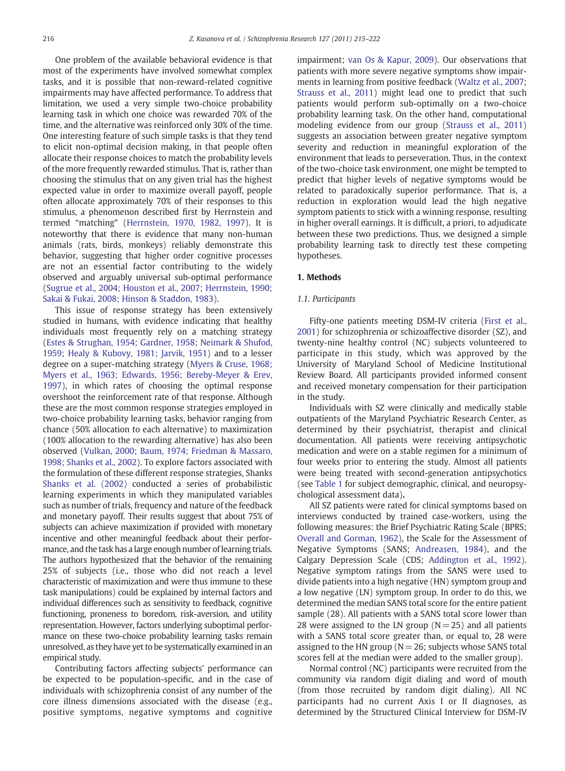One problem of the available behavioral evidence is that most of the experiments have involved somewhat complex tasks, and it is possible that non-reward-related cognitive impairments may have affected performance. To address that limitation, we used a very simple two-choice probability learning task in which one choice was rewarded 70% of the time, and the alternative was reinforced only 30% of the time. One interesting feature of such simple tasks is that they tend to elicit non-optimal decision making, in that people often allocate their response choices to match the probability levels of the more frequently rewarded stimulus. That is, rather than choosing the stimulus that on any given trial has the highest expected value in order to maximize overall payoff, people

often allocate approximately 70% of their responses to this stimulus, a phenomenon described first by Herrnstein and termed "matching" [\(Herrnstein, 1970, 1982, 1997](#page-6-0)). It is noteworthy that there is evidence that many non-human animals (rats, birds, monkeys) reliably demonstrate this behavior, suggesting that higher order cognitive processes are not an essential factor contributing to the widely observed and arguably universal sub-optimal performance ([Sugrue et al., 2004; Houston et al., 2007; Herrnstein, 1990;](#page-7-0) [Sakai & Fukai, 2008; Hinson & Staddon, 1983\)](#page-7-0).

This issue of response strategy has been extensively studied in humans, with evidence indicating that healthy individuals most frequently rely on a matching strategy ([Estes & Strughan, 1954; Gardner, 1958; Neimark & Shufod,](#page-6-0) [1959; Healy & Kubovy, 1981; Jarvik, 1951\)](#page-6-0) and to a lesser degree on a super-matching strategy [\(Myers & Cruse, 1968;](#page-6-0) [Myers et al., 1963; Edwards, 1956; Bereby-Meyer & Erev,](#page-6-0) [1997](#page-6-0)), in which rates of choosing the optimal response overshoot the reinforcement rate of that response. Although these are the most common response strategies employed in two-choice probability learning tasks, behavior ranging from chance (50% allocation to each alternative) to maximization (100% allocation to the rewarding alternative) has also been observed ([Vulkan, 2000; Baum, 1974; Friedman & Massaro,](#page-7-0) [1998; Shanks et al., 2002\)](#page-7-0). To explore factors associated with the formulation of these different response strategies, Shanks [Shanks et al. \(2002\)](#page-7-0) conducted a series of probabilistic learning experiments in which they manipulated variables such as number of trials, frequency and nature of the feedback and monetary payoff. Their results suggest that about 75% of subjects can achieve maximization if provided with monetary incentive and other meaningful feedback about their performance, and the task has a large enough number of learning trials. The authors hypothesized that the behavior of the remaining 25% of subjects (i.e., those who did not reach a level characteristic of maximization and were thus immune to these task manipulations) could be explained by internal factors and individual differences such as sensitivity to feedback, cognitive functioning, proneness to boredom, risk-aversion, and utility representation. However, factors underlying suboptimal performance on these two-choice probability learning tasks remain unresolved, as they have yet to be systematically examined in an empirical study.

Contributing factors affecting subjects' performance can be expected to be population-specific, and in the case of individuals with schizophrenia consist of any number of the core illness dimensions associated with the disease (e.g., positive symptoms, negative symptoms and cognitive impairment; [van Os & Kapur, 2009](#page-7-0)). Our observations that patients with more severe negative symptoms show impairments in learning from positive feedback [\(Waltz et al., 2007;](#page-7-0) [Strauss et al., 2011](#page-7-0)) might lead one to predict that such patients would perform sub-optimally on a two-choice probability learning task. On the other hand, computational modeling evidence from our group ([Strauss et al., 2011\)](#page-7-0) suggests an association between greater negative symptom severity and reduction in meaningful exploration of the environment that leads to perseveration. Thus, in the context of the two-choice task environment, one might be tempted to predict that higher levels of negative symptoms would be related to paradoxically superior performance. That is, a reduction in exploration would lead the high negative symptom patients to stick with a winning response, resulting in higher overall earnings. It is difficult, a priori, to adjudicate between these two predictions. Thus, we designed a simple probability learning task to directly test these competing hypotheses.

## 1. Methods

# 1.1. Participants

Fifty-one patients meeting DSM-IV criteria ([First et al.,](#page-6-0) [2001](#page-6-0)) for schizophrenia or schizoaffective disorder (SZ), and twenty-nine healthy control (NC) subjects volunteered to participate in this study, which was approved by the University of Maryland School of Medicine Institutional Review Board. All participants provided informed consent and received monetary compensation for their participation in the study.

Individuals with SZ were clinically and medically stable outpatients of the Maryland Psychiatric Research Center, as determined by their psychiatrist, therapist and clinical documentation. All patients were receiving antipsychotic medication and were on a stable regimen for a minimum of four weeks prior to entering the study. Almost all patients were being treated with second-generation antipsychotics (see [Table 1](#page-2-0) for subject demographic, clinical, and neuropsychological assessment data).

All SZ patients were rated for clinical symptoms based on interviews conducted by trained case-workers, using the following measures: the Brief Psychiatric Rating Scale (BPRS; [Overall and Gorman, 1962\)](#page-6-0), the Scale for the Assessment of Negative Symptoms (SANS; [Andreasen, 1984\)](#page-6-0), and the Calgary Depression Scale (CDS; [Addington et al., 1992](#page-6-0)). Negative symptom ratings from the SANS were used to divide patients into a high negative (HN) symptom group and a low negative (LN) symptom group. In order to do this, we determined the median SANS total score for the entire patient sample (28). All patients with a SANS total score lower than 28 were assigned to the LN group  $(N= 25)$  and all patients with a SANS total score greater than, or equal to, 28 were assigned to the HN group ( $N = 26$ ; subjects whose SANS total scores fell at the median were added to the smaller group).

Normal control (NC) participants were recruited from the community via random digit dialing and word of mouth (from those recruited by random digit dialing). All NC participants had no current Axis I or II diagnoses, as determined by the Structured Clinical Interview for DSM-IV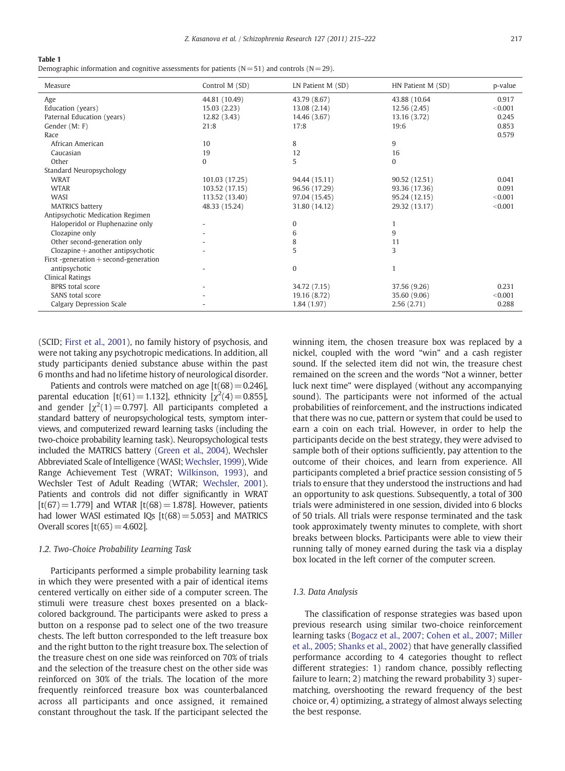#### <span id="page-2-0"></span>Table 1

Demographic information and cognitive assessments for patients ( $N= 51$ ) and controls ( $N= 29$ ).

| Measure                                 | Control M (SD)           | LN Patient M (SD) | HN Patient M (SD) | p-value |
|-----------------------------------------|--------------------------|-------------------|-------------------|---------|
| Age                                     | 44.81 (10.49)            | 43.79 (8.67)      | 43.88 (10.64      | 0.917   |
| Education (years)                       | 15.03(2.23)              | 13.08(2.14)       | 12.56 (2.45)      | < 0.001 |
| Paternal Education (years)              | 12.82 (3.43)             | 14.46 (3.67)      | 13.16 (3.72)      | 0.245   |
| Gender (M: F)                           | 21:8                     | 17:8              | 19:6              | 0.853   |
| Race                                    |                          |                   |                   | 0.579   |
| African American                        | 10                       | 8                 | 9                 |         |
| Caucasian                               | 19                       | 12                | 16                |         |
| Other                                   | $\Omega$                 | 5                 | $\Omega$          |         |
| Standard Neuropsychology                |                          |                   |                   |         |
| <b>WRAT</b>                             | 101.03 (17.25)           | 94.44 (15.11)     | 90.52 (12.51)     | 0.041   |
| <b>WTAR</b>                             | 103.52 (17.15)           | 96.56 (17.29)     | 93.36 (17.36)     | 0.091   |
| WASI                                    | 113.52 (13.40)           | 97.04 (15.45)     | 95.24 (12.15)     | < 0.001 |
| <b>MATRICS</b> battery                  | 48.33 (15.24)            | 31.80 (14.12)     | 29.32 (13.17)     | < 0.001 |
| Antipsychotic Medication Regimen        |                          |                   |                   |         |
| Haloperidol or Fluphenazine only        | $\overline{\phantom{a}}$ | $\Omega$          |                   |         |
| Clozapine only                          |                          | 6                 | 9                 |         |
| Other second-generation only            |                          | 8                 | 11                |         |
| Clozapine + another antipsychotic       |                          | 5                 | 3                 |         |
| First -generation $+$ second-generation |                          |                   |                   |         |
| antipsychotic                           |                          | $\Omega$          |                   |         |
| <b>Clinical Ratings</b>                 |                          |                   |                   |         |
| <b>BPRS</b> total score                 |                          | 34.72 (7.15)      | 37.56 (9.26)      | 0.231   |
| SANS total score                        |                          | 19.16 (8.72)      | 35.60 (9.06)      | < 0.001 |
| Calgary Depression Scale                |                          | 1.84 (1.97)       | 2.56(2.71)        | 0.288   |

(SCID; [First et al., 2001\)](#page-6-0), no family history of psychosis, and were not taking any psychotropic medications. In addition, all study participants denied substance abuse within the past 6 months and had no lifetime history of neurological disorder.

Patients and controls were matched on age  $[t(68)=0.246]$ , parental education [t(61) = 1.132], ethnicity [ $\chi^2(4)$  = 0.855], and gender  $[\chi^2(1)$  = 0.797]. All participants completed a standard battery of neuropsychological tests, symptom interviews, and computerized reward learning tasks (including the two-choice probability learning task). Neuropsychological tests included the MATRICS battery [\(Green et al., 2004\)](#page-6-0), Wechsler Abbreviated Scale of Intelligence (WASI; [Wechsler, 1999](#page-7-0)), Wide Range Achievement Test (WRAT; [Wilkinson, 1993](#page-7-0)), and Wechsler Test of Adult Reading (WTAR; [Wechsler, 2001\)](#page-7-0). Patients and controls did not differ significantly in WRAT  $[t(67)=1.779]$  and WTAR  $[t(68)=1.878]$ . However, patients had lower WASI estimated IQs  $[t(68) = 5.053]$  and MATRICS Overall scores  $[t(65)=4.602]$ .

#### 1.2. Two-Choice Probability Learning Task

Participants performed a simple probability learning task in which they were presented with a pair of identical items centered vertically on either side of a computer screen. The stimuli were treasure chest boxes presented on a blackcolored background. The participants were asked to press a button on a response pad to select one of the two treasure chests. The left button corresponded to the left treasure box and the right button to the right treasure box. The selection of the treasure chest on one side was reinforced on 70% of trials and the selection of the treasure chest on the other side was reinforced on 30% of the trials. The location of the more frequently reinforced treasure box was counterbalanced across all participants and once assigned, it remained constant throughout the task. If the participant selected the

winning item, the chosen treasure box was replaced by a nickel, coupled with the word "win" and a cash register sound. If the selected item did not win, the treasure chest remained on the screen and the words "Not a winner, better luck next time" were displayed (without any accompanying sound). The participants were not informed of the actual probabilities of reinforcement, and the instructions indicated that there was no cue, pattern or system that could be used to earn a coin on each trial. However, in order to help the participants decide on the best strategy, they were advised to sample both of their options sufficiently, pay attention to the outcome of their choices, and learn from experience. All participants completed a brief practice session consisting of 5 trials to ensure that they understood the instructions and had an opportunity to ask questions. Subsequently, a total of 300 trials were administered in one session, divided into 6 blocks of 50 trials. All trials were response terminated and the task took approximately twenty minutes to complete, with short breaks between blocks. Participants were able to view their running tally of money earned during the task via a display box located in the left corner of the computer screen.

#### 1.3. Data Analysis

The classification of response strategies was based upon previous research using similar two-choice reinforcement learning tasks [\(Bogacz et al., 2007; Cohen et al., 2007; Miller](#page-6-0) [et al., 2005; Shanks et al., 2002\)](#page-6-0) that have generally classified performance according to 4 categories thought to reflect different strategies: 1) random chance, possibly reflecting failure to learn; 2) matching the reward probability 3) supermatching, overshooting the reward frequency of the best choice or, 4) optimizing, a strategy of almost always selecting the best response.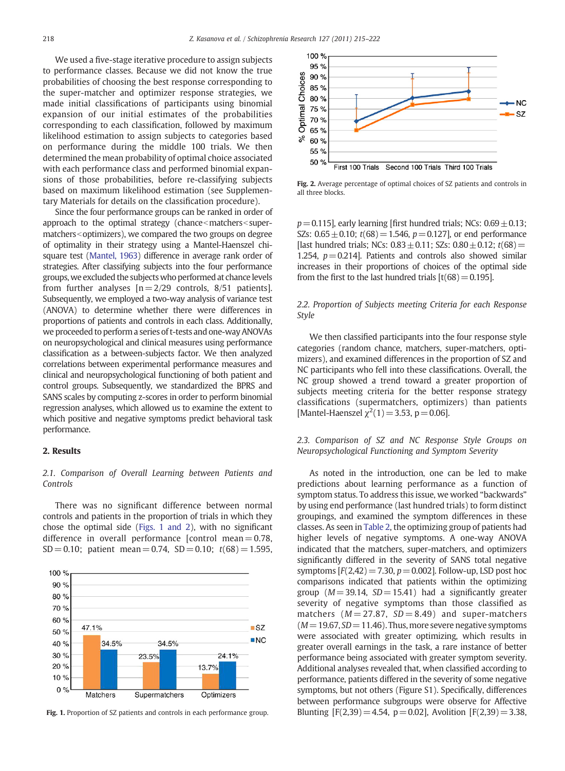We used a five-stage iterative procedure to assign subjects to performance classes. Because we did not know the true probabilities of choosing the best response corresponding to the super-matcher and optimizer response strategies, we made initial classifications of participants using binomial expansion of our initial estimates of the probabilities corresponding to each classification, followed by maximum likelihood estimation to assign subjects to categories based on performance during the middle 100 trials. We then determined the mean probability of optimal choice associated with each performance class and performed binomial expansions of those probabilities, before re-classifying subjects based on maximum likelihood estimation (see Supplementary Materials for details on the classification procedure).

Since the four performance groups can be ranked in order of approach to the optimal strategy (chance<matchers<supermatchers<optimizers), we compared the two groups on degree of optimality in their strategy using a Mantel-Haenszel chisquare test [\(Mantel, 1963](#page-6-0)) difference in average rank order of strategies. After classifying subjects into the four performance groups, we excluded the subjects who performed at chance levels from further analyses  $[n = 2/29$  controls, 8/51 patients]. Subsequently, we employed a two-way analysis of variance test (ANOVA) to determine whether there were differences in proportions of patients and controls in each class. Additionally, we proceeded to perform a series of t-tests and one-way ANOVAs on neuropsychological and clinical measures using performance classification as a between-subjects factor. We then analyzed correlations between experimental performance measures and clinical and neuropsychological functioning of both patient and control groups. Subsequently, we standardized the BPRS and SANS scales by computing z-scores in order to perform binomial regression analyses, which allowed us to examine the extent to which positive and negative symptoms predict behavioral task performance.

## 2. Results

# 2.1. Comparison of Overall Learning between Patients and Controls

There was no significant difference between normal controls and patients in the proportion of trials in which they chose the optimal side (Figs. 1 and 2), with no significant difference in overall performance [control mean  $= 0.78$ ,  $SD = 0.10$ ; patient mean = 0.74,  $SD = 0.10$ ;  $t(68) = 1.595$ ,





Fig. 2. Average percentage of optimal choices of SZ patients and controls in all three blocks.

 $p=0.115$ ], early learning [first hundred trials; NCs:  $0.69 \pm 0.13$ ; SZs:  $0.65 + 0.10$ ;  $t(68) = 1.546$ ,  $p = 0.127$ ], or end performance [last hundred trials; NCs:  $0.83 \pm 0.11$ ; SZs:  $0.80 \pm 0.12$ ;  $t(68) =$ 1.254,  $p = 0.214$ ]. Patients and controls also showed similar increases in their proportions of choices of the optimal side from the first to the last hundred trials  $[t(68)=0.195]$ .

# 2.2. Proportion of Subjects meeting Criteria for each Response Style

We then classified participants into the four response style categories (random chance, matchers, super-matchers, optimizers), and examined differences in the proportion of SZ and NC participants who fell into these classifications. Overall, the NC group showed a trend toward a greater proportion of subjects meeting criteria for the better response strategy classifications (supermatchers, optimizers) than patients [Mantel-Haenszel  $\chi^2(1) = 3.53$ , p = 0.06].

# 2.3. Comparison of SZ and NC Response Style Groups on Neuropsychological Functioning and Symptom Severity

As noted in the introduction, one can be led to make predictions about learning performance as a function of symptom status. To address this issue, we worked "backwards" by using end performance (last hundred trials) to form distinct groupings, and examined the symptom differences in these classes. As seen in [Table 2,](#page-4-0) the optimizing group of patients had higher levels of negative symptoms. A one-way ANOVA indicated that the matchers, super-matchers, and optimizers significantly differed in the severity of SANS total negative symptoms  $[F(2,42)=7.30, p=0.002]$ . Follow-up, LSD post hoc comparisons indicated that patients within the optimizing group  $(M= 39.14, SD = 15.41)$  had a significantly greater severity of negative symptoms than those classified as matchers  $(M = 27.87, SD = 8.49)$  and super-matchers  $(M=19.67, SD=11.46)$ . Thus, more severe negative symptoms were associated with greater optimizing, which results in greater overall earnings in the task, a rare instance of better performance being associated with greater symptom severity. Additional analyses revealed that, when classified according to performance, patients differed in the severity of some negative symptoms, but not others (Figure S1). Specifically, differences between performance subgroups were observe for Affective Fig. 1. Proportion of SZ patients and controls in each performance group. Blunting  $[F(2,39) = 4.54, p = 0.02]$ , Avolition  $[F(2,39) = 3.38$ ,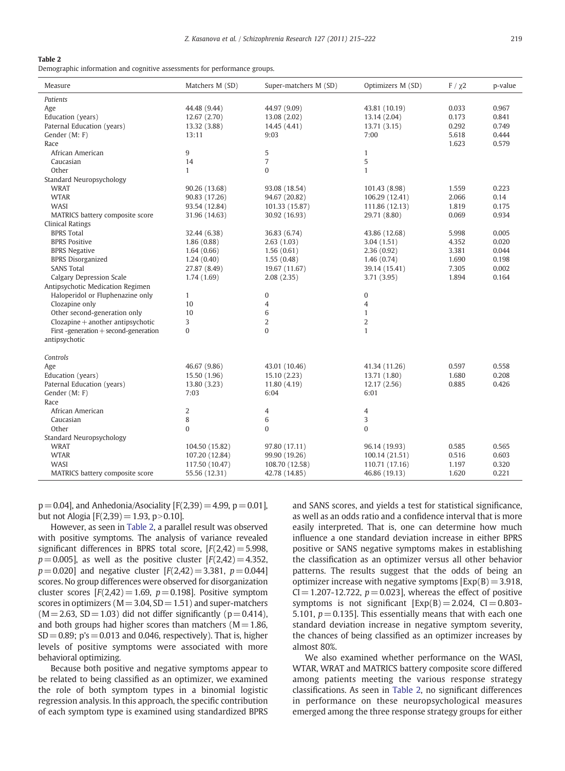## <span id="page-4-0"></span>Table 2

Demographic information and cognitive assessments for performance groups.

| Measure                                 | Matchers M (SD)      | Super-matchers M (SD) | Optimizers M (SD) | $F / \chi2$    | p-value        |
|-----------------------------------------|----------------------|-----------------------|-------------------|----------------|----------------|
| Patients                                |                      |                       |                   |                |                |
| Age                                     | 44.48 (9.44)         | 44.97 (9.09)          | 43.81 (10.19)     | 0.033          | 0.967          |
| Education (years)                       | 12.67 (2.70)         | 13.08 (2.02)          | 13.14 (2.04)      | 0.173          | 0.841          |
| Paternal Education (years)              | 13.32 (3.88)         | 14.45 (4.41)          | 13.71 (3.15)      | 0.292          | 0.749          |
| Gender (M: F)                           | 13:11                | 9:03                  | 7:00              | 5.618          | 0.444          |
| Race                                    |                      |                       |                   | 1.623          | 0.579          |
| African American                        | 9                    | 5                     | $\mathbf{1}$      |                |                |
| Caucasian                               | 14                   | 7                     | 5                 |                |                |
| Other                                   | $\mathbf{1}$         | $\Omega$              | $\mathbf{1}$      |                |                |
| Standard Neuropsychology                |                      |                       |                   |                |                |
| <b>WRAT</b>                             | 90.26 (13.68)        | 93.08 (18.54)         | 101.43 (8.98)     | 1.559          | 0.223          |
| <b>WTAR</b>                             | 90.83 (17.26)        | 94.67 (20.82)         | 106.29 (12.41)    | 2.066          | 0.14           |
| WASI                                    | 93.54 (12.84)        | 101.33 (15.87)        | 111.86 (12.13)    | 1.819          | 0.175          |
| MATRICS battery composite score         | 31.96 (14.63)        | 30.92 (16.93)         | 29.71 (8.80)      | 0.069          | 0.934          |
| <b>Clinical Ratings</b>                 |                      |                       |                   |                |                |
| <b>BPRS Total</b>                       | 32.44 (6.38)         | 36.83 (6.74)          | 43.86 (12.68)     | 5.998          | 0.005          |
| <b>BPRS Positive</b>                    | 1.86(0.88)           | 2.63(1.03)            | 3.04(1.51)        | 4.352          | 0.020          |
| <b>BPRS Negative</b>                    | 1.64(0.66)           | 1.56(0.61)            | 2.36(0.92)        | 3.381          | 0.044          |
| <b>BPRS</b> Disorganized                | 1.24(0.40)           | 1.55(0.48)            | 1.46(0.74)        | 1.690          | 0.198          |
| <b>SANS Total</b>                       | 27.87 (8.49)         | 19.67 (11.67)         | 39.14 (15.41)     | 7.305          | 0.002          |
| <b>Calgary Depression Scale</b>         | 1.74 (1.69)          | 2.08(2.35)            | 3.71(3.95)        | 1.894          | 0.164          |
| Antipsychotic Medication Regimen        |                      |                       |                   |                |                |
| Haloperidol or Fluphenazine only        | $\mathbf{1}$         | 0                     | $\bf{0}$          |                |                |
| Clozapine only                          | 10                   | 4                     | 4                 |                |                |
| Other second-generation only            | 10                   | 6                     | $\mathbf{1}$      |                |                |
| $Clozapine + another antipsychotic$     | 3                    | $\overline{2}$        | 2                 |                |                |
| First -generation $+$ second-generation | $\mathbf{0}$         | $\Omega$              | $\mathbf{1}$      |                |                |
| antipsychotic                           |                      |                       |                   |                |                |
|                                         |                      |                       |                   |                |                |
| Controls                                |                      |                       |                   |                |                |
| Age                                     | 46.67 (9.86)         | 43.01 (10.46)         | 41.34 (11.26)     | 0.597<br>1.680 | 0.558<br>0.208 |
| Education (years)                       | 15.50 (1.96)         | 15.10 (2.23)          | 13.71 (1.80)      |                |                |
| Paternal Education (years)              | 13.80 (3.23)<br>7:03 | 11.80 (4.19)<br>6:04  | 12.17 (2.56)      | 0.885          | 0.426          |
| Gender (M: F)                           |                      |                       | 6:01              |                |                |
| Race<br>African American                |                      |                       |                   |                |                |
|                                         | 2                    | 4<br>6                | 4                 |                |                |
| Caucasian                               | 8<br>$\mathbf{0}$    |                       | 3<br>$\mathbf{0}$ |                |                |
| Other<br>Standard Neuropsychology       |                      | 0                     |                   |                |                |
|                                         |                      |                       |                   |                |                |
| <b>WRAT</b>                             | 104.50 (15.82)       | 97.80 (17.11)         | 96.14 (19.93)     | 0.585          | 0.565          |
| <b>WTAR</b><br>WASI                     | 107.20 (12.84)       | 99.90 (19.26)         | 100.14 (21.51)    | 0.516          | 0.603          |
|                                         | 117.50 (10.47)       | 108.70 (12.58)        | 110.71 (17.16)    | 1.197<br>1.620 | 0.320<br>0.221 |
| MATRICS battery composite score         | 55.56 (12.31)        | 42.78 (14.85)         | 46.86 (19.13)     |                |                |

 $p=0.04$ ], and Anhedonia/Asociality [F(2,39) = 4.99, p = 0.01], but not Alogia  $[F(2,39)=1.93, p>0.10]$ .

However, as seen in Table 2, a parallel result was observed with positive symptoms. The analysis of variance revealed significant differences in BPRS total score,  $[F(2,42)=5.998,$  $p=0.005$ ], as well as the positive cluster  $[F(2,42)=4.352]$ ,  $p=0.020$ ] and negative cluster  $[F(2,42)=3.381, p=0.044]$ scores. No group differences were observed for disorganization cluster scores  $[F(2,42)=1.69, p=0.198]$ . Positive symptom scores in optimizers ( $M=3.04$ ,  $SD=1.51$ ) and super-matchers  $(M=2.63, SD=1.03)$  did not differ significantly ( $p=0.414$ ), and both groups had higher scores than matchers ( $M=1.86$ ,  $SD = 0.89$ ; p's  $= 0.013$  and 0.046, respectively). That is, higher levels of positive symptoms were associated with more behavioral optimizing.

Because both positive and negative symptoms appear to be related to being classified as an optimizer, we examined the role of both symptom types in a binomial logistic regression analysis. In this approach, the specific contribution of each symptom type is examined using standardized BPRS

and SANS scores, and yields a test for statistical significance, as well as an odds ratio and a confidence interval that is more easily interpreted. That is, one can determine how much influence a one standard deviation increase in either BPRS positive or SANS negative symptoms makes in establishing the classification as an optimizer versus all other behavior patterns. The results suggest that the odds of being an optimizer increase with negative symptoms  $[Exp(B) = 3.918,$  $CI = 1.207 - 12.722$ ,  $p = 0.023$ ], whereas the effect of positive symptoms is not significant  $[Exp(B) = 2.024, CI = 0.803$ -5.101,  $p = 0.135$ ]. This essentially means that with each one standard deviation increase in negative symptom severity, the chances of being classified as an optimizer increases by almost 80%.

We also examined whether performance on the WASI, WTAR, WRAT and MATRICS battery composite score differed among patients meeting the various response strategy classifications. As seen in Table 2, no significant differences in performance on these neuropsychological measures emerged among the three response strategy groups for either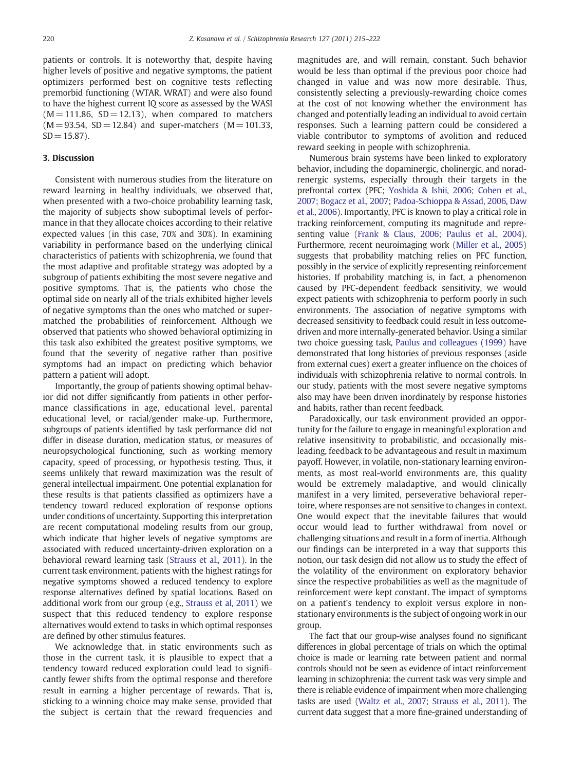patients or controls. It is noteworthy that, despite having higher levels of positive and negative symptoms, the patient optimizers performed best on cognitive tests reflecting premorbid functioning (WTAR, WRAT) and were also found to have the highest current IQ score as assessed by the WASI  $(M = 111.86, SD = 12.13)$ , when compared to matchers  $(M = 93.54, SD = 12.84)$  and super-matchers  $(M = 101.33,$  $SD = 15.87$ ).

# 3. Discussion

Consistent with numerous studies from the literature on reward learning in healthy individuals, we observed that, when presented with a two-choice probability learning task, the majority of subjects show suboptimal levels of performance in that they allocate choices according to their relative expected values (in this case, 70% and 30%). In examining variability in performance based on the underlying clinical characteristics of patients with schizophrenia, we found that the most adaptive and profitable strategy was adopted by a subgroup of patients exhibiting the most severe negative and positive symptoms. That is, the patients who chose the optimal side on nearly all of the trials exhibited higher levels of negative symptoms than the ones who matched or supermatched the probabilities of reinforcement. Although we observed that patients who showed behavioral optimizing in this task also exhibited the greatest positive symptoms, we found that the severity of negative rather than positive symptoms had an impact on predicting which behavior pattern a patient will adopt.

Importantly, the group of patients showing optimal behavior did not differ significantly from patients in other performance classifications in age, educational level, parental educational level, or racial/gender make-up. Furthermore, subgroups of patients identified by task performance did not differ in disease duration, medication status, or measures of neuropsychological functioning, such as working memory capacity, speed of processing, or hypothesis testing. Thus, it seems unlikely that reward maximization was the result of general intellectual impairment. One potential explanation for these results is that patients classified as optimizers have a tendency toward reduced exploration of response options under conditions of uncertainty. Supporting this interpretation are recent computational modeling results from our group, which indicate that higher levels of negative symptoms are associated with reduced uncertainty-driven exploration on a behavioral reward learning task ([Strauss et al., 2011](#page-7-0)). In the current task environment, patients with the highest ratings for negative symptoms showed a reduced tendency to explore response alternatives defined by spatial locations. Based on additional work from our group (e.g., [Strauss et al, 2011](#page-7-0)) we suspect that this reduced tendency to explore response alternatives would extend to tasks in which optimal responses are defined by other stimulus features.

We acknowledge that, in static environments such as those in the current task, it is plausible to expect that a tendency toward reduced exploration could lead to significantly fewer shifts from the optimal response and therefore result in earning a higher percentage of rewards. That is, sticking to a winning choice may make sense, provided that the subject is certain that the reward frequencies and magnitudes are, and will remain, constant. Such behavior would be less than optimal if the previous poor choice had changed in value and was now more desirable. Thus, consistently selecting a previously-rewarding choice comes at the cost of not knowing whether the environment has changed and potentially leading an individual to avoid certain responses. Such a learning pattern could be considered a viable contributor to symptoms of avolition and reduced reward seeking in people with schizophrenia.

Numerous brain systems have been linked to exploratory behavior, including the dopaminergic, cholinergic, and noradrenergic systems, especially through their targets in the prefrontal cortex (PFC; [Yoshida & Ishii, 2006; Cohen et al.,](#page-7-0) [2007; Bogacz et al., 2007](#page-7-0); [Padoa-Schioppa & Assad, 2006](#page-6-0), [Daw](#page-6-0) [et al., 2006\)](#page-6-0). Importantly, PFC is known to play a critical role in tracking reinforcement, computing its magnitude and representing value ([Frank & Claus, 2006; Paulus et al., 2004](#page-6-0)). Furthermore, recent neuroimaging work [\(Miller et al., 2005\)](#page-6-0) suggests that probability matching relies on PFC function, possibly in the service of explicitly representing reinforcement histories. If probability matching is, in fact, a phenomenon caused by PFC-dependent feedback sensitivity, we would expect patients with schizophrenia to perform poorly in such environments. The association of negative symptoms with decreased sensitivity to feedback could result in less outcomedriven and more internally-generated behavior. Using a similar two choice guessing task, [Paulus and colleagues \(1999\)](#page-6-0) have demonstrated that long histories of previous responses (aside from external cues) exert a greater influence on the choices of individuals with schizophrenia relative to normal controls. In our study, patients with the most severe negative symptoms also may have been driven inordinately by response histories and habits, rather than recent feedback.

Paradoxically, our task environment provided an opportunity for the failure to engage in meaningful exploration and relative insensitivity to probabilistic, and occasionally misleading, feedback to be advantageous and result in maximum payoff. However, in volatile, non-stationary learning environments, as most real-world environments are, this quality would be extremely maladaptive, and would clinically manifest in a very limited, perseverative behavioral repertoire, where responses are not sensitive to changes in context. One would expect that the inevitable failures that would occur would lead to further withdrawal from novel or challenging situations and result in a form of inertia. Although our findings can be interpreted in a way that supports this notion, our task design did not allow us to study the effect of the volatility of the environment on exploratory behavior since the respective probabilities as well as the magnitude of reinforcement were kept constant. The impact of symptoms on a patient's tendency to exploit versus explore in nonstationary environments is the subject of ongoing work in our group.

The fact that our group-wise analyses found no significant differences in global percentage of trials on which the optimal choice is made or learning rate between patient and normal controls should not be seen as evidence of intact reinforcement learning in schizophrenia: the current task was very simple and there is reliable evidence of impairment when more challenging tasks are used [\(Waltz et al., 2007; Strauss et al., 2011\)](#page-7-0). The current data suggest that a more fine-grained understanding of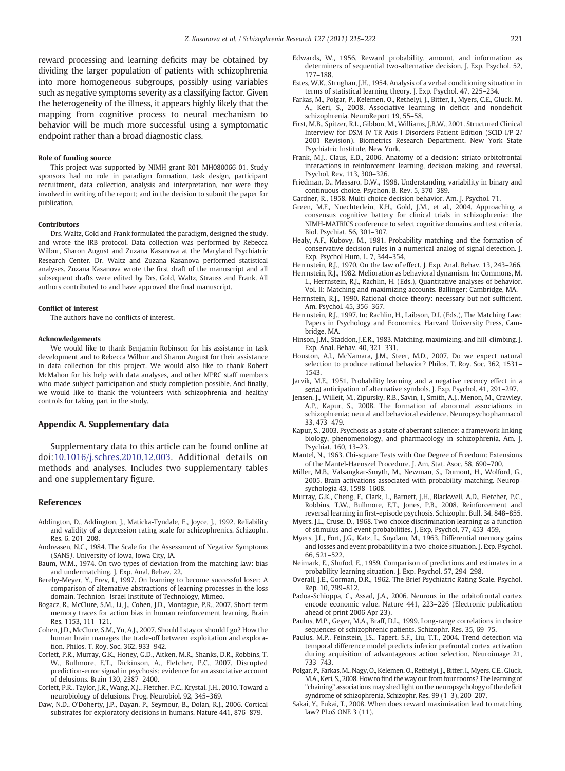<span id="page-6-0"></span>reward processing and learning deficits may be obtained by dividing the larger population of patients with schizophrenia into more homogeneous subgroups, possibly using variables such as negative symptoms severity as a classifying factor. Given the heterogeneity of the illness, it appears highly likely that the mapping from cognitive process to neural mechanism to behavior will be much more successful using a symptomatic endpoint rather than a broad diagnostic class.

#### Role of funding source

This project was supported by NIMH grant R01 MH080066-01. Study sponsors had no role in paradigm formation, task design, participant recruitment, data collection, analysis and interpretation, nor were they involved in writing of the report; and in the decision to submit the paper for publication.

#### Contributors

Drs. Waltz, Gold and Frank formulated the paradigm, designed the study, and wrote the IRB protocol. Data collection was performed by Rebecca Wilbur, Sharon August and Zuzana Kasanova at the Maryland Psychiatric Research Center. Dr. Waltz and Zuzana Kasanova performed statistical analyses. Zuzana Kasanova wrote the first draft of the manuscript and all subsequent drafts were edited by Drs. Gold, Waltz, Strauss and Frank. All authors contributed to and have approved the final manuscript.

#### Conflict of interest

The authors have no conflicts of interest.

#### Acknowledgements

We would like to thank Benjamin Robinson for his assistance in task development and to Rebecca Wilbur and Sharon August for their assistance in data collection for this project. We would also like to thank Robert McMahon for his help with data analyses, and other MPRC staff members who made subject participation and study completion possible. And finally, we would like to thank the volunteers with schizophrenia and healthy controls for taking part in the study.

#### Appendix A. Supplementary data

Supplementary data to this article can be found online at doi:[10.1016/j.schres.2010.12.003](http://dx.doi.org/10.1016/j.schres.2010.12.003). Additional details on methods and analyses. Includes two supplementary tables and one supplementary figure.

#### References

- Addington, D., Addington, J., Maticka-Tyndale, E., Joyce, J., 1992. Reliability and validity of a depression rating scale for schizophrenics. Schizophr. Res. 6, 201–208.
- Andreasen, N.C., 1984. The Scale for the Assessment of Negative Symptoms (SANS). University of Iowa, Iowa City, IA.
- Baum, W.M., 1974. On two types of deviation from the matching law: bias and undermatching. J. Exp. Anal. Behav. 22.
- Bereby-Meyer, Y., Erev, I., 1997. On learning to become successful loser: A comparison of alternative abstractions of learning processes in the loss domain. Technion- Israel Institute of Technology, Mimeo.
- Bogacz, R., McClure, S.M., Li, J., Cohen, J.D., Montague, P.R., 2007. Short-term memory traces for action bias in human reinforcement learning. Brain Res. 1153, 111–121.
- Cohen, J.D., McClure, S.M., Yu, A.J., 2007. Should I stay or should I go? How the human brain manages the trade-off between exploitation and exploration. Philos. T. Roy. Soc. 362, 933–942.
- Corlett, P.R., Murray, G.K., Honey, G.D., Aitken, M.R., Shanks, D.R., Robbins, T. W., Bullmore, E.T., Dickinson, A., Fletcher, P.C., 2007. Disrupted prediction-error signal in psychosis: evidence for an associative account of delusions. Brain 130, 2387–2400.
- Corlett, P.R., Taylor, J.R., Wang, X.J., Fletcher, P.C., Krystal, J.H., 2010. Toward a neurobiology of delusions. Prog. Neurobiol. 92, 345–369.
- Daw, N.D., O'Doherty, J.P., Dayan, P., Seymour, B., Dolan, R.J., 2006. Cortical substrates for exploratory decisions in humans. Nature 441, 876–879.
- Edwards, W., 1956. Reward probability, amount, and information as determiners of sequential two-alternative decision. I. Exp. Psychol. 52, 177–188.
- Estes, W.K., Strughan, J.H., 1954. Analysis of a verbal conditioning situation in terms of statistical learning theory. J. Exp. Psychol. 47, 225–234.
- Farkas, M., Polgar, P., Kelemen, O., Rethelyi, J., Bitter, I., Myers, C.E., Gluck, M. A., Keri, S., 2008. Associative learning in deficit and nondeficit schizophrenia. NeuroReport 19, 55–58.
- First, M.B., Spitzer, R.L., Gibbon, M., Williams, J.B.W., 2001. Structured Clinical Interview for DSM-IV-TR Axis I Disorders-Patient Edition (SCID-I/P 2/ 2001 Revision). Biometrics Research Department, New York State Psychiatric Institute, New York.
- Frank, M.J., Claus, E.D., 2006. Anatomy of a decision: striato-orbitofrontal interactions in reinforcement learning, decision making, and reversal. Psychol. Rev. 113, 300–326.
- Friedman, D., Massaro, D.W., 1998. Understanding variability in binary and continuous choice. Psychon. B. Rev. 5, 370–389.
- Gardner, R., 1958. Multi-choice decision behavior. Am. J. Psychol. 71.
- Green, M.F., Nuechterlein, K.H., Gold, J.M., et al., 2004. Approaching a consensus cognitive battery for clinical trials in schizophrenia: the NIMH-MATRICS conference to select cognitive domains and test criteria. Biol. Psychiat. 56, 301–307.
- Healy, A.F., Kubovy, M., 1981. Probability matching and the formation of conservative decision rules in a numerical analog of signal detection. J. Exp. Psychol Hum. L. 7, 344–354.
- Herrnstein, R.J., 1970. On the law of effect. J. Exp. Anal. Behav. 13, 243–266. Herrnstein, R.J., 1982. Melioration as behavioral dynamism. In: Commons, M.
- L., Herrnstein, R.J., Rachlin, H. (Eds.), Quantitative analyses of behavior. Vol. II: Matching and maximizing accounts. Ballinger; Cambridge, MA.
- Herrnstein, R.J., 1990. Rational choice theory: necessary but not sufficient. Am. Psychol. 45, 356–367.
- Herrnstein, R.J., 1997. In: Rachlin, H., Laibson, D.I. (Eds.), The Matching Law: Papers in Psychology and Economics. Harvard University Press, Cambridge, MA.
- Hinson, J.M., Staddon, J.E.R., 1983. Matching, maximizing, and hill-climbing. J. Exp. Anal. Behav. 40, 321–331.
- Houston, A.I., McNamara, J.M., Steer, M.D., 2007. Do we expect natural selection to produce rational behavior? Philos. T. Roy. Soc. 362, 1531– 1543.
- Jarvik, M.E., 1951. Probability learning and a negative recency effect in a serial anticipation of alternative symbols. J. Exp. Psychol. 41, 291–297.
- Jensen, J., Willeit, M., Zipursky, R.B., Savin, I., Smith, A.J., Menon, M., Crawley, A.P., Kapur, S., 2008. The formation of abnormal associations in schizophrenia: neural and behavioral evidence. Neuropsychopharmacol 33, 473–479.
- Kapur, S., 2003. Psychosis as a state of aberrant salience: a framework linking biology, phenomenology, and pharmacology in schizophrenia. Am. J. Psychiat. 160, 13–23.
- Mantel, N., 1963. Chi-square Tests with One Degree of Freedom: Extensions of the Mantel-Haenszel Procedure. J. Am. Stat. Asoc. 58, 690–700.
- Miller, M.B., Valsangkar-Smyth, M., Newman, S., Dumont, H., Wolford, G., 2005. Brain activations associated with probability matching. Neuropsychologia 43, 1598–1608.
- Murray, G.K., Cheng, F., Clark, L., Barnett, J.H., Blackwell, A.D., Fletcher, P.C., Robbins, T.W., Bullmore, E.T., Jones, P.B., 2008. Reinforcement and reversal learning in first-episode psychosis. Schizophr. Bull. 34, 848–855.
- Myers, J.L., Cruse, D., 1968. Two-choice discrimination learning as a function of stimulus and event probabilities. J. Exp. Psychol. 77, 453–459.
- Myers, J.L., Fort, J.G., Katz, L., Suydam, M., 1963. Differential memory gains and losses and event probability in a two-choice situation. J. Exp. Psychol. 66, 521–522.
- Neimark, E., Shufod, E., 1959. Comparison of predictions and estimates in a probability learning situation. J. Exp. Psychol. 57, 294–298.
- Overall, J.E., Gorman, D.R., 1962. The Brief Psychiatric Rating Scale. Psychol. Rep. 10, 799–812.
- Padoa-Schioppa, C., Assad, J.A., 2006. Neurons in the orbitofrontal cortex encode economic value. Nature 441, 223–226 (Electronic publication ahead of print 2006 Apr 23).
- Paulus, M.P., Geyer, M.A., Braff, D.L., 1999. Long-range correlations in choice sequences of schizophrenic patients. Schizophr. Res. 35, 69–75.
- Paulus, M.P., Feinstein, J.S., Tapert, S.F., Liu, T.T., 2004. Trend detection via temporal difference model predicts inferior prefrontal cortex activation during acquisition of advantageous action selection. Neuroimage 21, 733–743.
- Polgar, P., Farkas, M., Nagy, O., Kelemen, O., Rethelyi, J., Bitter, I., Myers, C.E., Gluck, M.A., Keri, S., 2008. How to find the way out from four rooms? The learning of "chaining" associations may shed light on the neuropsychology of the deficit syndrome of schizophrenia. Schizophr. Res. 99 (1–3), 200–207.
- Sakai, Y., Fukai, T., 2008. When does reward maximization lead to matching law? PLoS ONE 3 (11).